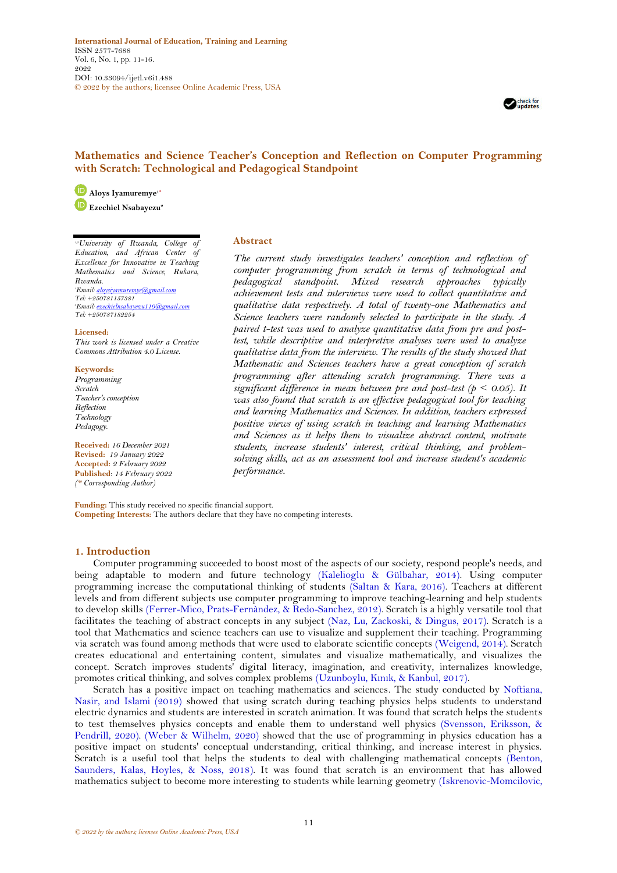**International Journal of Education, Training and Learning** ISSN 2577-7688 Vol. 6, No. 1, pp. 11-16. 2022 DOI: 10.33094/ijetl.v6i1.488 © 2022 by the authors; licensee Online Academic Press, USA



# **Mathematics and Science Teacher's Conception and Reflection on Computer Programming with Scratch: Technological and Pedagogical Standpoint**

**Aloys Iyamuremye1\* Ezechiel Nsabayezu<sup>2</sup>**

*1,2University of Rwanda, College of Education, and African Center of Excellence for Innovative in Teaching Mathematics and Science, Rukara, Rwanda. <sup>1</sup>Email*: aloy *Tel: +250781157381 <sup>2</sup>Email[: ezechielnsabayezu119@gmail.com](mailto:ezechielnsabayezu119@gmail.com) Tel: +250787182254*

**Licensed:** 

*This work is licensed under a Creative Commons Attribution 4.0 License.* 

### **Keywords:**

*Programming Scratch Teacher's conception Reflection Technology Pedagogy.*

**Received:** *16 December 2021* **Revised:** *19 January 2022* **Accepted:** *2 February 2022* **Published**: *14 February 2022 (\* Corresponding Author)*

## **Abstract**

*The current study investigates teachers' conception and reflection of computer programming from scratch in terms of technological and pedagogical standpoint. Mixed research approaches typically achievement tests and interviews were used to collect quantitative and qualitative data respectively. A total of twenty-one Mathematics and Science teachers were randomly selected to participate in the study. A paired t-test was used to analyze quantitative data from pre and posttest, while descriptive and interpretive analyses were used to analyze qualitative data from the interview. The results of the study showed that Mathematic and Sciences teachers have a great conception of scratch programming after attending scratch programming. There was a significant difference in mean between pre and post-test (* $p < 0.05$ *). It was also found that scratch is an effective pedagogical tool for teaching and learning Mathematics and Sciences. In addition, teachers expressed positive views of using scratch in teaching and learning Mathematics and Sciences as it helps them to visualize abstract content, motivate students, increase students' interest, critical thinking, and problemsolving skills, act as an assessment tool and increase student's academic performance.*

**Funding:** This study received no specific financial support. **Competing Interests:** The authors declare that they have no competing interests.

## **1. Introduction**

Computer programming succeeded to boost most of the aspects of our society, respond people's needs, and being adaptable to modern and future technology [\(Kalelioglu & Gülbahar, 2014\)](#page-5-0). Using computer programming increase the computational thinking of students [\(Saltan & Kara, 2016\)](#page-5-1). Teachers at different levels and from different subjects use computer programming to improve teaching-learning and help students to develop skills [\(Ferrer-Mico, Prats-Fernàndez, & Redo-Sanchez, 2012\)](#page-5-2). Scratch is a highly versatile tool that facilitates the teaching of abstract concepts in any subject [\(Naz, Lu, Zackoski, & Dingus, 2017\)](#page-5-3). Scratch is a tool that Mathematics and science teachers can use to visualize and supplement their teaching. Programming via scratch was found among methods that were used to elaborate scientific concepts [\(Weigend, 2014\)](#page-5-4). Scratch creates educational and entertaining content, simulates and visualize mathematically, and visualizes the concept. Scratch improves students' digital literacy, imagination, and creativity, internalizes knowledge, promotes critical thinking, and solves complex problems (Uzunboylu, Kını[k, & Kanbul, 2017\)](#page-5-5).

Scratch has a positive impact on teaching mathematics and sciences. The study conducted by [Noftiana,](#page-5-6)  [Nasir, and Islami \(2019\)](#page-5-6) showed that using scratch during teaching physics helps students to understand electric dynamics and students are interested in scratch animation. It was found that scratch helps the students to test themselves physics concepts and enable them to understand well physics [\(Svensson, Eriksson, &](#page-5-7)  [Pendrill, 2020\)](#page-5-7). [\(Weber & Wilhelm, 2020\)](#page-5-8) showed that the use of programming in physics education has a positive impact on students' conceptual understanding, critical thinking, and increase interest in physics. Scratch is a useful tool that helps the students to deal with challenging mathematical concepts [\(Benton,](#page-4-0)  [Saunders, Kalas, Hoyles, & Noss, 2018\)](#page-4-0). It was found that scratch is an environment that has allowed mathematics subject to become more interesting to students while learning geometry [\(Iskrenovic-Momcilovic,](#page-5-9)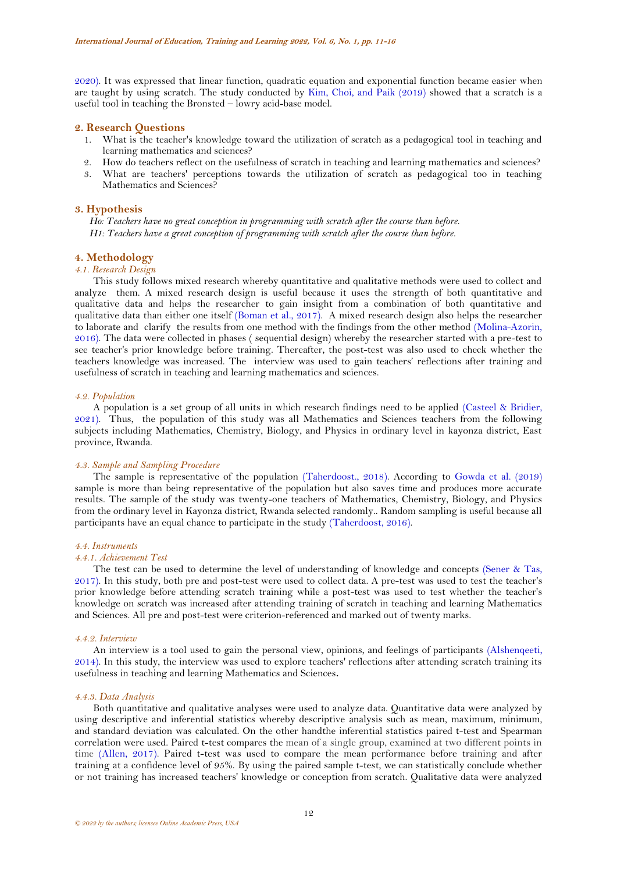[2020\)](#page-5-9). It was expressed that linear function, quadratic equation and exponential function became easier when are taught by using scratch. The study conducted by [Kim, Choi, and Paik \(2019\)](#page-5-10) showed that a scratch is a useful tool in teaching the Bronsted – lowry acid-base model.

## **2. Research Questions**

- 1. What is the teacher's knowledge toward the utilization of scratch as a pedagogical tool in teaching and learning mathematics and sciences?
- 2. How do teachers reflect on the usefulness of scratch in teaching and learning mathematics and sciences?
- What are teachers' perceptions towards the utilization of scratch as pedagogical too in teaching Mathematics and Sciences?

## **3. Hypothesis**

*Ho: Teachers have no great conception in programming with scratch after the course than before. H1: Teachers have a great conception of programming with scratch after the course than before.*

## **4. Methodology**

## *4.1. Research Design*

This study follows mixed research whereby quantitative and qualitative methods were used to collect and analyze them. A mixed research design is useful because it uses the strength of both quantitative and qualitative data and helps the researcher to gain insight from a combination of both quantitative and qualitative data than either one itself [\(Boman et al., 2017\)](#page-4-1). A mixed research design also helps the researcher to laborate and clarify the results from one method with the findings from the other method [\(Molina-Azorin,](#page-5-11)  [2016\)](#page-5-11). The data were collected in phases ( sequential design) whereby the researcher started with a pre-test to see teacher's prior knowledge before training. Thereafter, the post-test was also used to check whether the teachers knowledge was increased. The interview was used to gain teachers' reflections after training and usefulness of scratch in teaching and learning mathematics and sciences.

#### *4.2. Population*

A population is a set group of all units in which research findings need to be applied [\(Casteel & Bridier,](#page-5-12)  [2021\)](#page-5-12). Thus, the population of this study was all Mathematics and Sciences teachers from the following subjects including Mathematics, Chemistry, Biology, and Physics in ordinary level in kayonza district, East province, Rwanda.

#### *4.3. Sample and Sampling Procedure*

The sample is representative of the population [\(Taherdoost., 2018\)](#page-5-13). According to [Gowda et al. \(2019\)](#page-5-14) sample is more than being representative of the population but also saves time and produces more accurate results. The sample of the study was twenty-one teachers of Mathematics, Chemistry, Biology, and Physics from the ordinary level in Kayonza district, Rwanda selected randomly.. Random sampling is useful because all participants have an equal chance to participate in the study [\(Taherdoost, 2016\)](#page-5-15).

#### *4.4. Instruments*

## *4.4.1. Achievement Test*

The test can be used to determine the level of understanding of knowledge and concepts [\(Sener & Tas,](#page-5-16)  [2017\)](#page-5-16). In this study, both pre and post-test were used to collect data. A pre-test was used to test the teacher's prior knowledge before attending scratch training while a post-test was used to test whether the teacher's knowledge on scratch was increased after attending training of scratch in teaching and learning Mathematics and Sciences. All pre and post-test were criterion-referenced and marked out of twenty marks.

#### *4.4.2. Interview*

An interview is a tool used to gain the personal view, opinions, and feelings of participants [\(Alshenqeeti,](#page-4-2)  [2014\)](#page-4-2). In this study, the interview was used to explore teachers' reflections after attending scratch training its usefulness in teaching and learning Mathematics and Sciences**.**

#### *4.4.3. Data Analysis*

Both quantitative and qualitative analyses were used to analyze data. Quantitative data were analyzed by using descriptive and inferential statistics whereby descriptive analysis such as mean, maximum, minimum, and standard deviation was calculated. On the other handthe inferential statistics paired t-test and Spearman correlation were used. Paired t-test compares the mean of a single group, examined at two different points in time [\(Allen, 2017\)](#page-4-3). Paired t-test was used to compare the mean performance before training and after training at a confidence level of 95%. By using the paired sample t-test, we can statistically conclude whether or not training has increased teachers' knowledge or conception from scratch. Qualitative data were analyzed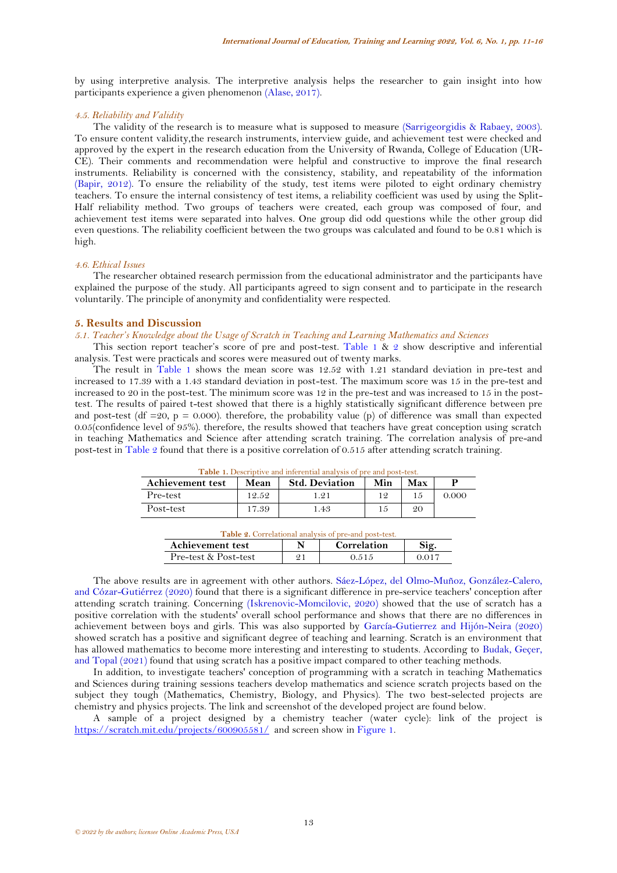by using interpretive analysis. The interpretive analysis helps the researcher to gain insight into how participants experience a given phenomenon [\(Alase, 2017\)](#page-4-4).

### *4.5. Reliability and Validity*

The validity of the research is to measure what is supposed to measure [\(Sarrigeorgidis & Rabaey, 2003\)](#page-5-17). To ensure content validity,the research instruments, interview guide, and achievement test were checked and approved by the expert in the research education from the University of Rwanda, College of Education (UR-CE). Their comments and recommendation were helpful and constructive to improve the final research instruments. Reliability is concerned with the consistency, stability, and repeatability of the information [\(Bapir, 2012\)](#page-4-5). To ensure the reliability of the study, test items were piloted to eight ordinary chemistry teachers. To ensure the internal consistency of test items, a reliability coefficient was used by using the Split-Half reliability method. Two groups of teachers were created, each group was composed of four, and achievement test items were separated into halves. One group did odd questions while the other group did even questions. The reliability coefficient between the two groups was calculated and found to be 0.81 which is high.

#### *4.6. Ethical Issues*

The researcher obtained research permission from the educational administrator and the participants have explained the purpose of the study. All participants agreed to sign consent and to participate in the research voluntarily. The principle of anonymity and confidentiality were respected.

## **5. Results and Discussion**

*5.1. Teacher's Knowledge about the Usage of Scratch in Teaching and Learning Mathematics and Sciences*

This section report teacher's score of pre and post-test. [Table 1](#page-2-0) & [2](#page-2-1) show descriptive and inferential analysis. Test were practicals and scores were measured out of twenty marks.

The result in [Table 1](#page-2-0) shows the mean score was 12.52 with 1.21 standard deviation in pre-test and increased to 17.39 with a 1.43 standard deviation in post-test. The maximum score was 15 in the pre-test and increased to 20 in the post-test. The minimum score was 12 in the pre-test and was increased to 15 in the posttest. The results of paired t-test showed that there is a highly statistically significant difference between pre and post-test (df =20, p = 0.000). therefore, the probability value (p) of difference was small than expected 0.05(confidence level of 95%). therefore, the results showed that teachers have great conception using scratch in teaching Mathematics and Science after attending scratch training. The correlation analysis of pre-and post-test i[n Table 2](#page-2-1) found that there is a positive correlation of 0.515 after attending scratch training.

<span id="page-2-0"></span>

| <b>Table 1.</b> Descriptive and inferential analysis of pre and post-test. |       |                       |     |     |       |  |  |  |
|----------------------------------------------------------------------------|-------|-----------------------|-----|-----|-------|--|--|--|
| <b>Achievement test</b>                                                    | Mean  | <b>Std. Deviation</b> | Min | Max |       |  |  |  |
| Pre-test                                                                   | 12.52 | 1.91                  | 12  |     | 0.000 |  |  |  |
| Post-test                                                                  | 17.39 | 1.43                  | 15  | 20  |       |  |  |  |

| <b>Table 2.</b> Correlational analysis of pre-and post-test. |  |                    |        |  |  |
|--------------------------------------------------------------|--|--------------------|--------|--|--|
| Achievement test                                             |  | <b>Correlation</b> |        |  |  |
| Pre-test & Post-test                                         |  | 0.515              | -0.017 |  |  |

<span id="page-2-1"></span>The above results are in agreement with other authors. [Sáez-López, del Olmo-Muñoz, González-Calero,](#page-5-18)  [and Cózar-Gutiérrez \(2020\)](#page-5-18) found that there is a significant difference in pre-service teachers' conception after attending scratch training. Concerning [\(Iskrenovic-Momcilovic, 2020\)](#page-5-9) showed that the use of scratch has a positive correlation with the students' overall school performance and shows that there are no differences in achievement between boys and girls. This was also supported by [García-Gutierrez and Hijón-Neira \(2020\)](#page-5-19) showed scratch has a positive and significant degree of teaching and learning. Scratch is an environment that has allowed mathematics to become more interesting and interesting to students. According to [Budak, Geçer,](#page-4-6)  [and Topal \(2021\)](#page-4-6) found that using scratch has a positive impact compared to other teaching methods.

In addition, to investigate teachers' conception of programming with a scratch in teaching Mathematics and Sciences during training sessions teachers develop mathematics and science scratch projects based on the subject they tough (Mathematics, Chemistry, Biology, and Physics). The two best-selected projects are chemistry and physics projects. The link and screenshot of the developed project are found below.

A sample of a project designed by a chemistry teacher (water cycle): link of the project is <https://scratch.mit.edu/projects/600905581/> and screen show i[n Figure 1.](#page-3-0)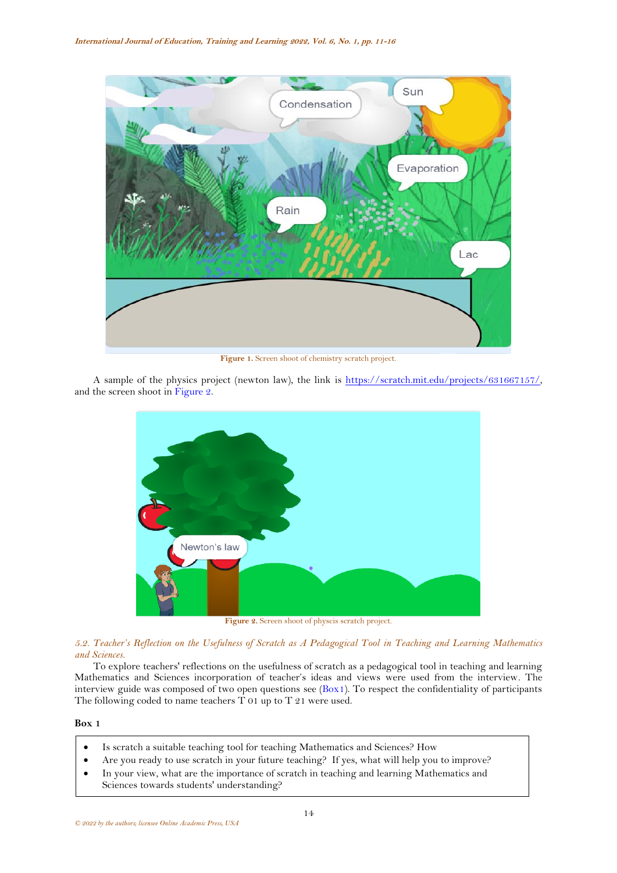

**Figure 1.** Screen shoot of chemistry scratch project.

<span id="page-3-0"></span>A sample of the physics project (newton law), the link is [https://scratch.mit.edu/projects/631667157/,](https://scratch.mit.edu/projects/631667157/) and the screen shoot i[n Figure 2.](#page-3-1)



Figure 2. Screen shoot of physcis scratch project.

<span id="page-3-1"></span>*5.2. Teacher's Reflection on the Usefulness of Scratch as A Pedagogical Tool in Teaching and Learning Mathematics and Sciences.*

To explore teachers' reflections on the usefulness of scratch as a pedagogical tool in teaching and learning Mathematics and Sciences incorporation of teacher's ideas and views were used from the interview. The interview guide was composed of two open questions see [\(Box1\)](#page-3-2). To respect the confidentiality of participants The following coded to name teachers T 01 up to T 21 were used.

<span id="page-3-2"></span>**Box 1**

- Is scratch a suitable teaching tool for teaching Mathematics and Sciences? How
- Are you ready to use scratch in your future teaching? If yes, what will help you to improve?
- In your view, what are the importance of scratch in teaching and learning Mathematics and
- Sciences towards students' understanding?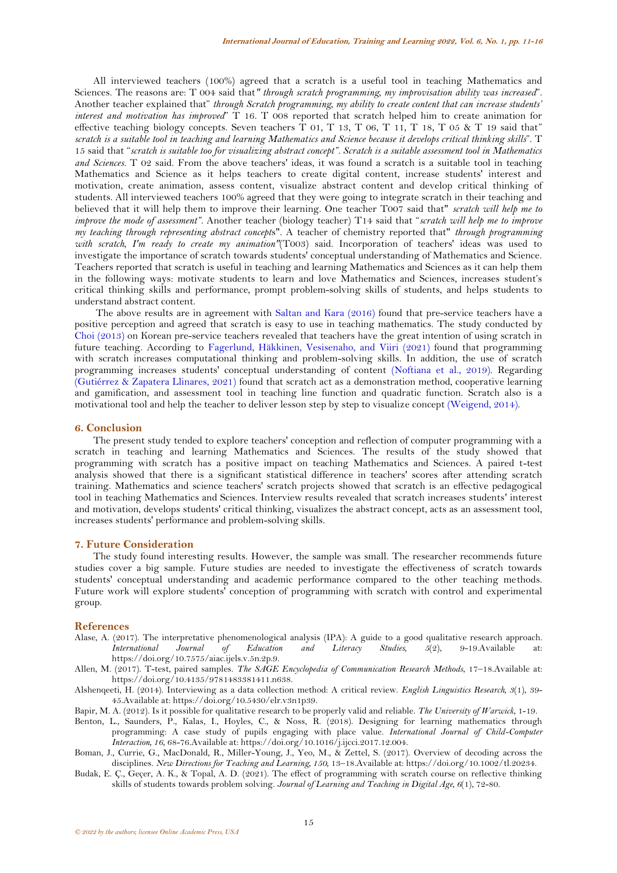All interviewed teachers (100%) agreed that a scratch is a useful tool in teaching Mathematics and Sciences. The reasons are: T 004 said that*" through scratch programming, my improvisation ability was increased*". Another teacher explained that" *through Scratch programming, my ability to create content that can increase students' interest and motivation has improved*" T 16. T 008 reported that scratch helped him to create animation for effective teaching biology concepts. Seven teachers T 01, T 13, T 06, T 11, T 18, T 05 & T 19 said that" *scratch is a suitable tool in teaching and learning Mathematics and Science because it develops critical thinking skills*". T 15 said that "*scratch is suitable too for visualizing abstract concept". Scratch is a suitable assessment tool in Mathematics and Sciences.* T 02 said. From the above teachers' ideas, it was found a scratch is a suitable tool in teaching Mathematics and Science as it helps teachers to create digital content, increase students' interest and motivation, create animation, assess content, visualize abstract content and develop critical thinking of students. All interviewed teachers 100% agreed that they were going to integrate scratch in their teaching and believed that it will help them to improve their learning. One teacher T007 said that" *scratch will help me to improve the mode of assessment".* Another teacher (biology teacher) T14 said that "*scratch will help me to improve my teaching through representing abstract concept*s". A teacher of chemistry reported that" *through programming with scratch, I'm ready to create my animation"*(T003) said. Incorporation of teachers' ideas was used to investigate the importance of scratch towards students' conceptual understanding of Mathematics and Science. Teachers reported that scratch is useful in teaching and learning Mathematics and Sciences as it can help them in the following ways: motivate students to learn and love Mathematics and Sciences, increases student's critical thinking skills and performance, prompt problem-solving skills of students, and helps students to understand abstract content.

The above results are in agreement with [Saltan and Kara \(2016\)](#page-5-1) found that pre-service teachers have a positive perception and agreed that scratch is easy to use in teaching mathematics. The study conducted by [Choi \(2013\)](#page-5-20) on Korean pre-service teachers revealed that teachers have the great intention of using scratch in future teaching. According to [Fagerlund, Häkkinen, Vesisenaho, and Viiri \(2021\)](#page-5-21) found that programming with scratch increases computational thinking and problem-solving skills. In addition, the use of scratch programming increases students' conceptual understanding of content [\(Noftiana et al., 2019\)](#page-5-6). Regarding [\(Gutiérrez & Zapatera Llinares, 2021\)](#page-5-22) found that scratch act as a demonstration method, cooperative learning and gamification, and assessment tool in teaching line function and quadratic function. Scratch also is a motivational tool and help the teacher to deliver lesson step by step to visualize concept [\(Weigend, 2014\)](#page-5-4).

## **6. Conclusion**

The present study tended to explore teachers' conception and reflection of computer programming with a scratch in teaching and learning Mathematics and Sciences. The results of the study showed that programming with scratch has a positive impact on teaching Mathematics and Sciences. A paired t-test analysis showed that there is a significant statistical difference in teachers' scores after attending scratch training. Mathematics and science teachers' scratch projects showed that scratch is an effective pedagogical tool in teaching Mathematics and Sciences. Interview results revealed that scratch increases students' interest and motivation, develops students' critical thinking, visualizes the abstract concept, acts as an assessment tool, increases students' performance and problem-solving skills.

## **7. Future Consideration**

The study found interesting results. However, the sample was small. The researcher recommends future studies cover a big sample. Future studies are needed to investigate the effectiveness of scratch towards students' conceptual understanding and academic performance compared to the other teaching methods. Future work will explore students' conception of programming with scratch with control and experimental group.

## **References**

- <span id="page-4-4"></span>Alase, A. (2017). The interpretative phenomenological analysis (IPA): A guide to a good qualitative research approach. *International Journal of Education and Literacy Studies, 5*(2), 9-19.Available https://doi.org/10.7575/aiac.ijels.v.5n.2p.9.
- <span id="page-4-3"></span>Allen, M. (2017). T-test, paired samples. *The SAGE Encyclopedia of Communication Research Methods*, 17–18.Available at: https://doi.org/10.4135/9781483381411.n638.
- <span id="page-4-2"></span>Alshenqeeti, H. (2014). Interviewing as a data collection method: A critical review. *English Linguistics Research, 3*(1), 39- 45.Available at: https://doi.org/10.5430/elr.v3n1p39.
- <span id="page-4-5"></span>Bapir, M. A. (2012). Is it possible for qualitative research to be properly valid and reliable. *The University of Warwick*, 1-19.
- <span id="page-4-0"></span>Benton, L., Saunders, P., Kalas, I., Hoyles, C., & Noss, R. (2018). Designing for learning mathematics through programming: A case study of pupils engaging with place value. *International Journal of Child-Computer Interaction, 16*, 68-76.Available at: https://doi.org/10.1016/j.ijcci.2017.12.004.
- <span id="page-4-1"></span>Boman, J., Currie, G., MacDonald, R., Miller-Young, J., Yeo, M., & Zettel, S. (2017). Overview of decoding across the disciplines. *New Directions for Teaching and Learning, 150*, 13–18.Available at: https://doi.org/10.1002/tl.20234.
- <span id="page-4-6"></span>Budak, E. Ç., Geçer, A. K., & Topal, A. D. (2021). The effect of programming with scratch course on reflective thinking skills of students towards problem solving. *Journal of Learning and Teaching in Digital Age, 6*(1), 72-80.